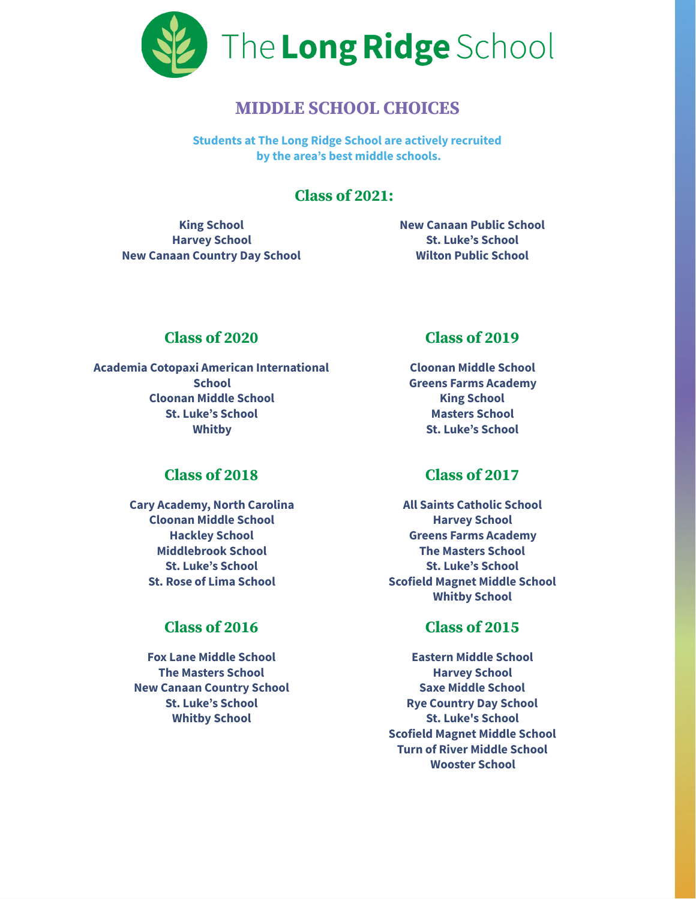

# **MIDDLE SCHOOL CHOICES**

**Students at The Long Ridge School are actively recruited by the area's best middle schools.**

## **Class of 2021:**

**King School Harvey School New Canaan Country Day School** **New Canaan Public School St. Luke's School Wilton Public School**

#### **Class of 2020**

**Academia Cotopaxi American International School Cloonan Middle School St. Luke's School Whitby**

## **Class of 2018**

**Cary Academy, North Carolina Cloonan Middle School Hackley School Middlebrook School St. Luke's School St. Rose of Lima School**

## **Class of 2016**

**Fox Lane Middle School The Masters School New Canaan Country School St. Luke's School Whitby School**

#### **Class of 2019**

**Cloonan Middle School Greens Farms Academy King School Masters School St. Luke's School**

## **Class of 2017**

**All Saints Catholic School Harvey School Greens Farms Academy The Masters School St. Luke's School Scofield Magnet Middle School Whitby School**

### **Class of 2015**

**Eastern Middle School Harvey School Saxe Middle School Rye Country Day School St. Luke's School Scofield Magnet Middle School Turn of River Middle School Wooster School**